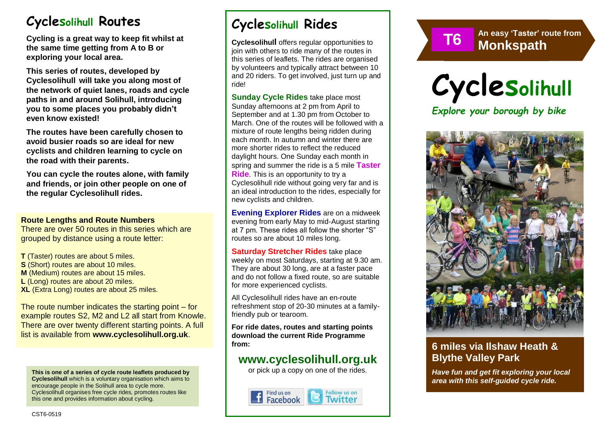# **Cyclesolihull Routes**

**Cycling is a great way to keep fit whilst at the same time getting from A to B or exploring your local area.** 

**This series of routes, developed by Cyclesolihull will take you along most of the network of quiet lanes, roads and cycle paths in and around Solihull, introducing you to some places you probably didn't even know existed!**

**The routes have been carefully chosen to avoid busier roads so are ideal for new cyclists and children learning to cycle on the road with their parents.** 

**You can cycle the routes alone, with family and friends, or join other people on one of the regular Cyclesolihull rides.**

#### **Route Lengths and Route Numbers**

There are over 50 routes in this series which are grouped by distance using a route letter:

**T** (Taster) routes are about 5 miles. **S** (Short) routes are about 10 miles. **M** (Medium) routes are about 15 miles. **L** (Long) routes are about 20 miles. **XL** (Extra Long) routes are about 25 miles.

The route number indicates the starting point – for example routes S2, M2 and L2 all start from Knowle. There are over twenty different starting points. A full list is available from **www.cyclesolihull.org.uk**.

**This is one of a series of cycle route leaflets produced by Cyclesolihull** which is a voluntary organisation which aims to encourage people in the Solihull area to cycle more. Cyclesolihull organises free cycle rides, promotes routes like this one and provides information about cycling.

# **Cyclesolihull Rides**

**Cyclesolihull** offers regular opportunities to join with others to ride many of the routes in this series of leaflets. The rides are organised by volunteers and typically attract between 10 and 20 riders. To get involved, just turn up and ride!

**Sunday Cycle Rides** take place most Sunday afternoons at 2 pm from April to September and at 1.30 pm from October to March. One of the routes will be followed with a mixture of route lengths being ridden during each month. In autumn and winter there are more shorter rides to reflect the reduced daylight hours. One Sunday each month in spring and summer the ride is a 5 mile **Taster Ride**. This is an opportunity to try a Cyclesolihull ride without going very far and is an ideal introduction to the rides, especially for new cyclists and children.

**Evening Explorer Rides** are on a midweek evening from early May to mid-August starting at 7 pm. These rides all follow the shorter "S" routes so are about 10 miles long.

**Saturday Stretcher Rides** take place weekly on most Saturdays, starting at 9.30 am. They are about 30 long, are at a faster pace and do not follow a fixed route, so are suitable for more experienced cyclists.

All Cyclesolihull rides have an en-route refreshment stop of 20-30 minutes at a familyfriendly pub or tearoom.

**For ride dates, routes and starting points download the current Ride Programme from:** 

### **www.cyclesolihull.org.uk**

or pick up a copy on one of the rides.





**An easy 'Taster' route from**



*Explore your borough by bike*



### **6 miles via Ilshaw Heath & Blythe Valley Park**

*Have fun and get fit exploring your local area with this self-guided cycle ride.*